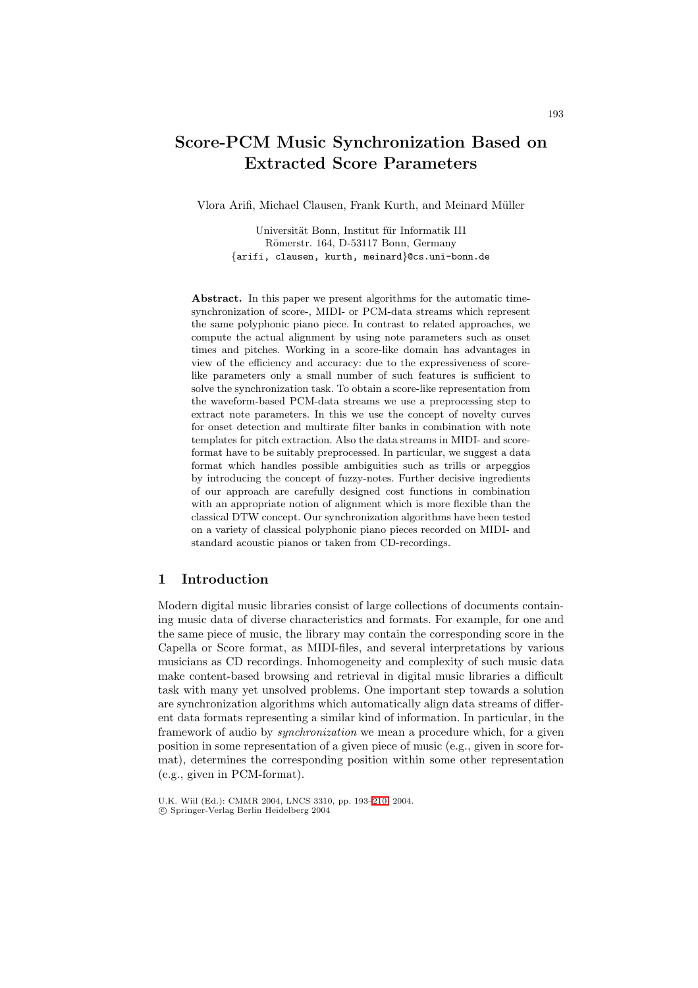# **Score-PCM Music Synchronization Based on Extracted Score Parameters**

Vlora Arifi, Michael Clausen, Frank Kurth, and Meinard Müller

Universität Bonn, Institut für Informatik III Römerstr. 164, D-53117 Bonn, Germany {arifi, clausen, kurth, meinard}@cs.uni-bonn.de

**Abstract.** In this paper we present algorithms for the automatic timesynchronization of score-, MIDI- or PCM-data streams which represent the same polyphonic piano piece. In contrast to related approaches, we compute the actual alignment by using note parameters such as onset times and pitches. Working in a score-like domain has advantages in view of the efficiency and accuracy: due to the expressiveness of scorelike parameters only a small number of such features is sufficient to solve the synchronization task. To obtain a score-like representation from the waveform-based PCM-data streams we use a preprocessing step to extract note parameters. In this we use the concept of novelty curves for onset detection and multirate filter banks in combination with note templates for pitch extraction. Also the data streams in MIDI- and scoreformat have to be suitably preprocessed. In particular, we suggest a data format which handles possible ambiguities such as trills or arpeggios by introducing the concept of fuzzy-notes. Further decisive ingredients of our approach are carefully designed cost functions in combination with an appropriate notion of alignment which is more flexible than the classical DTW concept. Our synchronization algorithms have been tested on a variety of classical polyphonic piano pieces recorded on MIDI- and standard acoustic pianos or taken from CD-recordings.

#### **1 Introduction**

Modern digital music libraries consist of large collections of documents containing music data of diverse characteristics and formats. For example, for one and the same piece of music, the library may contain the corresponding score in the Capella or Score format, as MIDI-files, and several interpretations by various musicians as CD recordings. Inhomogeneity and complexity of such music data make content-based browsing and retrieval in digital music libraries a difficult task with many yet unsolved problems. One important step towards a solution are synchronization algorithms which automatically align data streams of different data formats representing a similar kind of information. In particular, in the framework of audio by *synchronization* we mean a procedure which, for a given position in some representation of a given piece of music (e.g., given in score format), determines the corresponding position within some other representation (e.g., given in PCM-format).

U.K. Wiil (Ed.): CMMR 2004, LNCS 3310, pp. 193[–210,](#page-16-0) 2004. c Springer-Verlag Berlin Heidelberg 2004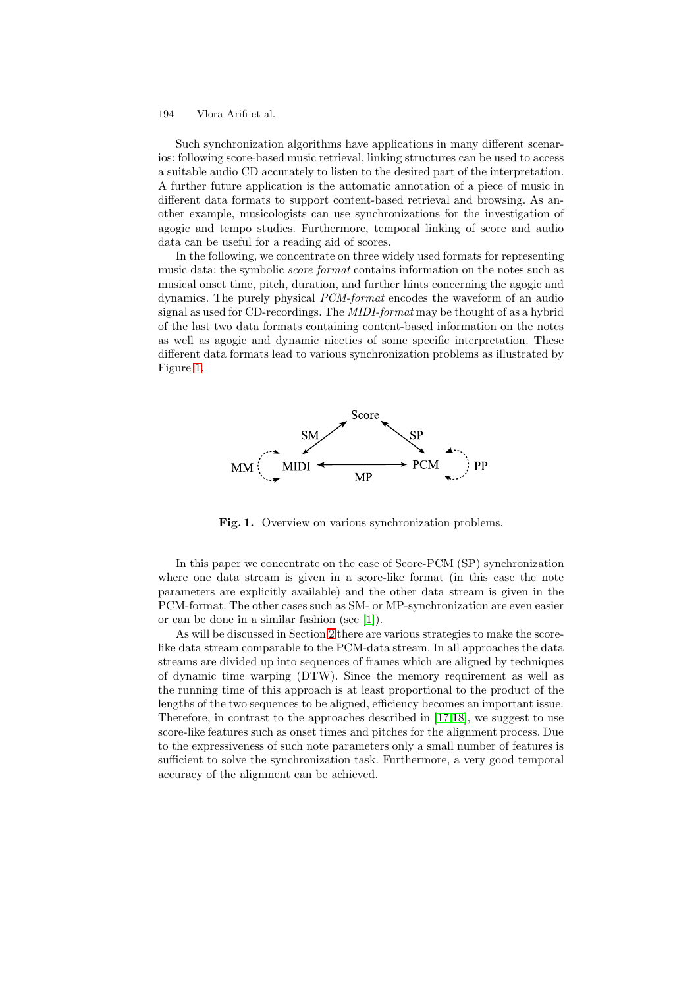Such synchronization algorithms have applications in many different scenarios: following score-based music retrieval, linking structures can be used to access a suitable audio CD accurately to listen to the desired part of the interpretation. A further future application is the automatic annotation of a piece of music in different data formats to support content-based retrieval and browsing. As another example, musicologists can use synchronizations for the investigation of agogic and tempo studies. Furthermore, temporal linking of score and audio data can be useful for a reading aid of scores.

In the following, we concentrate on three widely used formats for representing music data: the symbolic *score format* contains information on the notes such as musical onset time, pitch, duration, and further hints concerning the agogic and dynamics. The purely physical *PCM-format* encodes the waveform of an audio signal as used for CD-recordings. The *MIDI-format* may be thought of as a hybrid of the last two data formats containing content-based information on the notes as well as agogic and dynamic niceties of some specific interpretation. These different data formats lead to various synchronization problems as illustrated by Figure [1.](#page-1-0)



**Fig. 1.** Overview on various synchronization problems.

<span id="page-1-0"></span>In this paper we concentrate on the case of Score-PCM (SP) synchronization where one data stream is given in a score-like format (in this case the note parameters are explicitly available) and the other data stream is given in the PCM-format. The other cases such as SM- or MP-synchronization are even easier or can be done in a similar fashion (see [\[1\]](#page-16-1)).

As will be discussed in Section [2](#page-2-0) there are various strategies to make the scorelike data stream comparable to the PCM-data stream. In all approaches the data streams are divided up into sequences of frames which are aligned by techniques of dynamic time warping (DTW). Since the memory requirement as well as the running time of this approach is at least proportional to the product of the lengths of the two sequences to be aligned, efficiency becomes an important issue. Therefore, in contrast to the approaches described in [\[17,](#page-17-0)[18\]](#page-17-1), we suggest to use score-like features such as onset times and pitches for the alignment process. Due to the expressiveness of such note parameters only a small number of features is sufficient to solve the synchronization task. Furthermore, a very good temporal accuracy of the alignment can be achieved.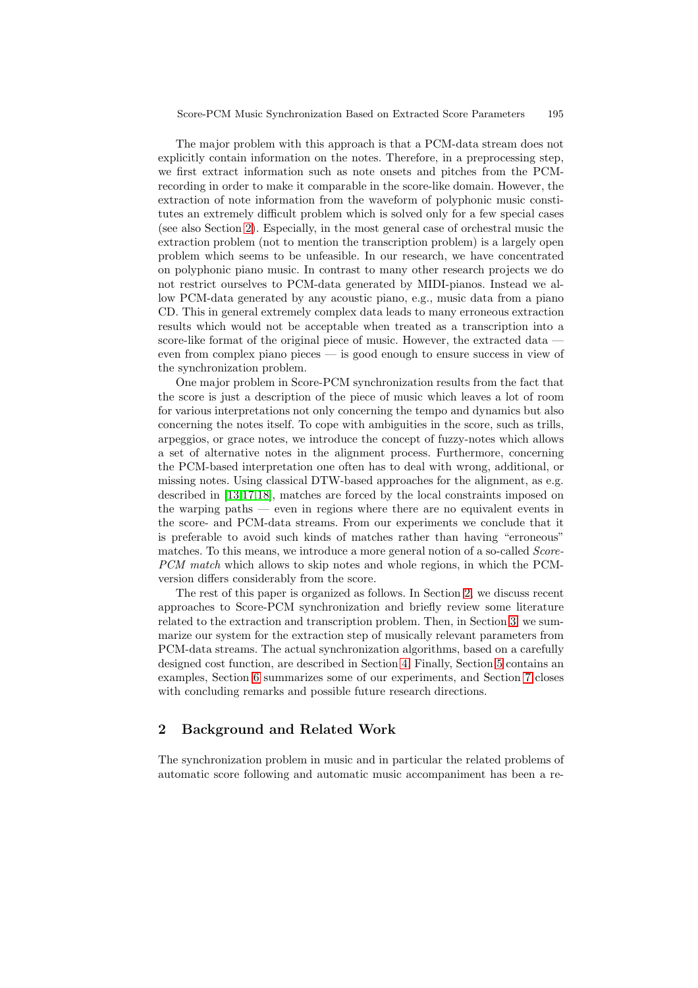The major problem with this approach is that a PCM-data stream does not explicitly contain information on the notes. Therefore, in a preprocessing step, we first extract information such as note onsets and pitches from the PCMrecording in order to make it comparable in the score-like domain. However, the extraction of note information from the waveform of polyphonic music constitutes an extremely difficult problem which is solved only for a few special cases (see also Section [2\)](#page-2-0). Especially, in the most general case of orchestral music the extraction problem (not to mention the transcription problem) is a largely open problem which seems to be unfeasible. In our research, we have concentrated on polyphonic piano music. In contrast to many other research projects we do not restrict ourselves to PCM-data generated by MIDI-pianos. Instead we allow PCM-data generated by any acoustic piano, e.g., music data from a piano CD. This in general extremely complex data leads to many erroneous extraction results which would not be acceptable when treated as a transcription into a score-like format of the original piece of music. However, the extracted data even from complex piano pieces — is good enough to ensure success in view of the synchronization problem.

One major problem in Score-PCM synchronization results from the fact that the score is just a description of the piece of music which leaves a lot of room for various interpretations not only concerning the tempo and dynamics but also concerning the notes itself. To cope with ambiguities in the score, such as trills, arpeggios, or grace notes, we introduce the concept of fuzzy-notes which allows a set of alternative notes in the alignment process. Furthermore, concerning the PCM-based interpretation one often has to deal with wrong, additional, or missing notes. Using classical DTW-based approaches for the alignment, as e.g. described in [\[13,](#page-17-2)[17,](#page-17-0)[18\]](#page-17-1), matches are forced by the local constraints imposed on the warping paths — even in regions where there are no equivalent events in the score- and PCM-data streams. From our experiments we conclude that it is preferable to avoid such kinds of matches rather than having "erroneous" matches. To this means, we introduce a more general notion of a so-called *Score-PCM match* which allows to skip notes and whole regions, in which the PCMversion differs considerably from the score.

The rest of this paper is organized as follows. In Section [2,](#page-2-0) we discuss recent approaches to Score-PCM synchronization and briefly review some literature related to the extraction and transcription problem. Then, in Section [3,](#page-4-0) we summarize our system for the extraction step of musically relevant parameters from PCM-data streams. The actual synchronization algorithms, based on a carefully designed cost function, are described in Section [4.](#page-6-0) Finally, Section [5](#page-11-0) contains an examples, Section [6](#page-12-0) summarizes some of our experiments, and Section [7](#page-14-0) closes with concluding remarks and possible future research directions.

## <span id="page-2-0"></span>**2 Background and Related Work**

The synchronization problem in music and in particular the related problems of automatic score following and automatic music accompaniment has been a re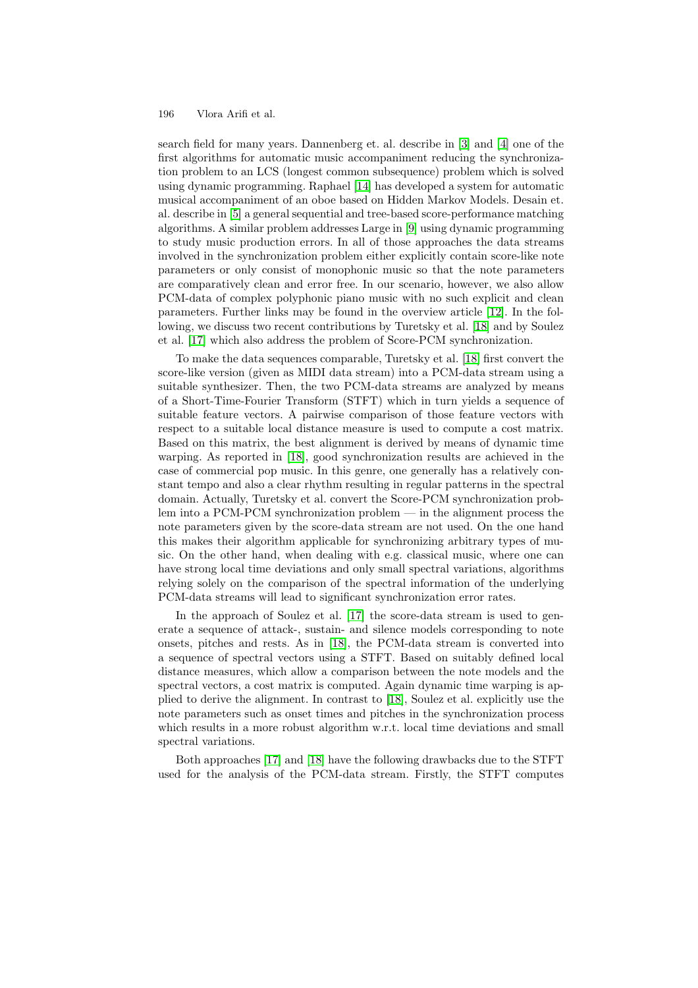search field for many years. Dannenberg et. al. describe in [\[3\]](#page-16-2) and [\[4\]](#page-16-3) one of the first algorithms for automatic music accompaniment reducing the synchronization problem to an LCS (longest common subsequence) problem which is solved using dynamic programming. Raphael [\[14\]](#page-17-3) has developed a system for automatic musical accompaniment of an oboe based on Hidden Markov Models. Desain et. al. describe in [\[5\]](#page-16-4) a general sequential and tree-based score-performance matching algorithms. A similar problem addresses Large in [\[9\]](#page-16-5) using dynamic programming to study music production errors. In all of those approaches the data streams involved in the synchronization problem either explicitly contain score-like note parameters or only consist of monophonic music so that the note parameters are comparatively clean and error free. In our scenario, however, we also allow PCM-data of complex polyphonic piano music with no such explicit and clean parameters. Further links may be found in the overview article [\[12\]](#page-17-4). In the following, we discuss two recent contributions by Turetsky et al. [\[18\]](#page-17-1) and by Soulez et al. [\[17\]](#page-17-0) which also address the problem of Score-PCM synchronization.

To make the data sequences comparable, Turetsky et al. [\[18\]](#page-17-1) first convert the score-like version (given as MIDI data stream) into a PCM-data stream using a suitable synthesizer. Then, the two PCM-data streams are analyzed by means of a Short-Time-Fourier Transform (STFT) which in turn yields a sequence of suitable feature vectors. A pairwise comparison of those feature vectors with respect to a suitable local distance measure is used to compute a cost matrix. Based on this matrix, the best alignment is derived by means of dynamic time warping. As reported in [\[18\]](#page-17-1), good synchronization results are achieved in the case of commercial pop music. In this genre, one generally has a relatively constant tempo and also a clear rhythm resulting in regular patterns in the spectral domain. Actually, Turetsky et al. convert the Score-PCM synchronization problem into a PCM-PCM synchronization problem — in the alignment process the note parameters given by the score-data stream are not used. On the one hand this makes their algorithm applicable for synchronizing arbitrary types of music. On the other hand, when dealing with e.g. classical music, where one can have strong local time deviations and only small spectral variations, algorithms relying solely on the comparison of the spectral information of the underlying PCM-data streams will lead to significant synchronization error rates.

In the approach of Soulez et al. [\[17\]](#page-17-0) the score-data stream is used to generate a sequence of attack-, sustain- and silence models corresponding to note onsets, pitches and rests. As in [\[18\]](#page-17-1), the PCM-data stream is converted into a sequence of spectral vectors using a STFT. Based on suitably defined local distance measures, which allow a comparison between the note models and the spectral vectors, a cost matrix is computed. Again dynamic time warping is applied to derive the alignment. In contrast to [\[18\]](#page-17-1), Soulez et al. explicitly use the note parameters such as onset times and pitches in the synchronization process which results in a more robust algorithm w.r.t. local time deviations and small spectral variations.

Both approaches [\[17\]](#page-17-0) and [\[18\]](#page-17-1) have the following drawbacks due to the STFT used for the analysis of the PCM-data stream. Firstly, the STFT computes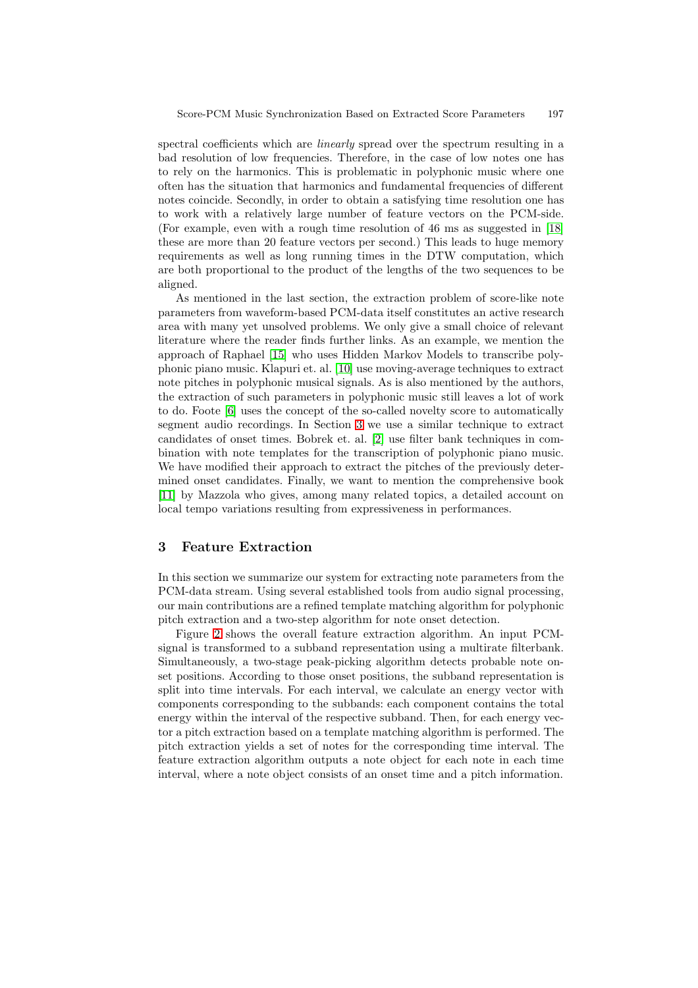spectral coefficients which are *linearly* spread over the spectrum resulting in a bad resolution of low frequencies. Therefore, in the case of low notes one has to rely on the harmonics. This is problematic in polyphonic music where one often has the situation that harmonics and fundamental frequencies of different notes coincide. Secondly, in order to obtain a satisfying time resolution one has to work with a relatively large number of feature vectors on the PCM-side. (For example, even with a rough time resolution of 46 ms as suggested in [\[18\]](#page-17-1) these are more than 20 feature vectors per second.) This leads to huge memory requirements as well as long running times in the DTW computation, which are both proportional to the product of the lengths of the two sequences to be aligned.

As mentioned in the last section, the extraction problem of score-like note parameters from waveform-based PCM-data itself constitutes an active research area with many yet unsolved problems. We only give a small choice of relevant literature where the reader finds further links. As an example, we mention the approach of Raphael [\[15\]](#page-17-5) who uses Hidden Markov Models to transcribe polyphonic piano music. Klapuri et. al. [\[10\]](#page-17-6) use moving-average techniques to extract note pitches in polyphonic musical signals. As is also mentioned by the authors, the extraction of such parameters in polyphonic music still leaves a lot of work to do. Foote [\[6\]](#page-16-6) uses the concept of the so-called novelty score to automatically segment audio recordings. In Section [3](#page-4-0) we use a similar technique to extract candidates of onset times. Bobrek et. al. [\[2\]](#page-16-7) use filter bank techniques in combination with note templates for the transcription of polyphonic piano music. We have modified their approach to extract the pitches of the previously determined onset candidates. Finally, we want to mention the comprehensive book [\[11\]](#page-17-7) by Mazzola who gives, among many related topics, a detailed account on local tempo variations resulting from expressiveness in performances.

## <span id="page-4-0"></span>**3 Feature Extraction**

In this section we summarize our system for extracting note parameters from the PCM-data stream. Using several established tools from audio signal processing, our main contributions are a refined template matching algorithm for polyphonic pitch extraction and a two-step algorithm for note onset detection.

Figure [2](#page-5-0) shows the overall feature extraction algorithm. An input PCMsignal is transformed to a subband representation using a multirate filterbank. Simultaneously, a two-stage peak-picking algorithm detects probable note onset positions. According to those onset positions, the subband representation is split into time intervals. For each interval, we calculate an energy vector with components corresponding to the subbands: each component contains the total energy within the interval of the respective subband. Then, for each energy vector a pitch extraction based on a template matching algorithm is performed. The pitch extraction yields a set of notes for the corresponding time interval. The feature extraction algorithm outputs a note object for each note in each time interval, where a note object consists of an onset time and a pitch information.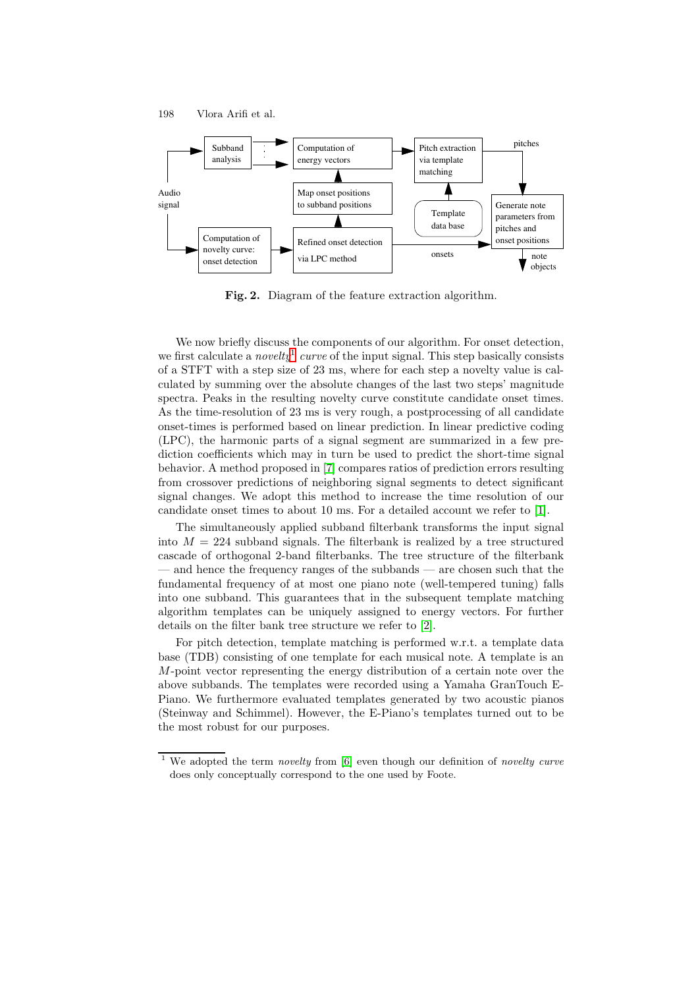

<span id="page-5-0"></span>**Fig. 2.** Diagram of the feature extraction algorithm.

We now briefly discuss the components of our algorithm. For onset detection, we first calculate a *novelty*[1](#page-5-1) *curve* of the input signal. This step basically consists of a STFT with a step size of 23 ms, where for each step a novelty value is calculated by summing over the absolute changes of the last two steps' magnitude spectra. Peaks in the resulting novelty curve constitute candidate onset times. As the time-resolution of 23 ms is very rough, a postprocessing of all candidate onset-times is performed based on linear prediction. In linear predictive coding (LPC), the harmonic parts of a signal segment are summarized in a few prediction coefficients which may in turn be used to predict the short-time signal behavior. A method proposed in [\[7\]](#page-16-8) compares ratios of prediction errors resulting from crossover predictions of neighboring signal segments to detect significant signal changes. We adopt this method to increase the time resolution of our candidate onset times to about 10 ms. For a detailed account we refer to [\[1\]](#page-16-1).

The simultaneously applied subband filterbank transforms the input signal into  $M = 224$  subband signals. The filterbank is realized by a tree structured cascade of orthogonal 2-band filterbanks. The tree structure of the filterbank — and hence the frequency ranges of the subbands — are chosen such that the fundamental frequency of at most one piano note (well-tempered tuning) falls into one subband. This guarantees that in the subsequent template matching algorithm templates can be uniquely assigned to energy vectors. For further details on the filter bank tree structure we refer to [\[2\]](#page-16-7).

For pitch detection, template matching is performed w.r.t. a template data base (TDB) consisting of one template for each musical note. A template is an M-point vector representing the energy distribution of a certain note over the above subbands. The templates were recorded using a Yamaha GranTouch E-Piano. We furthermore evaluated templates generated by two acoustic pianos (Steinway and Schimmel). However, the E-Piano's templates turned out to be the most robust for our purposes.

<span id="page-5-1"></span><sup>1</sup> We adopted the term *novelty* from [\[6\]](#page-16-6) even though our definition of *novelty curve* does only conceptually correspond to the one used by Foote.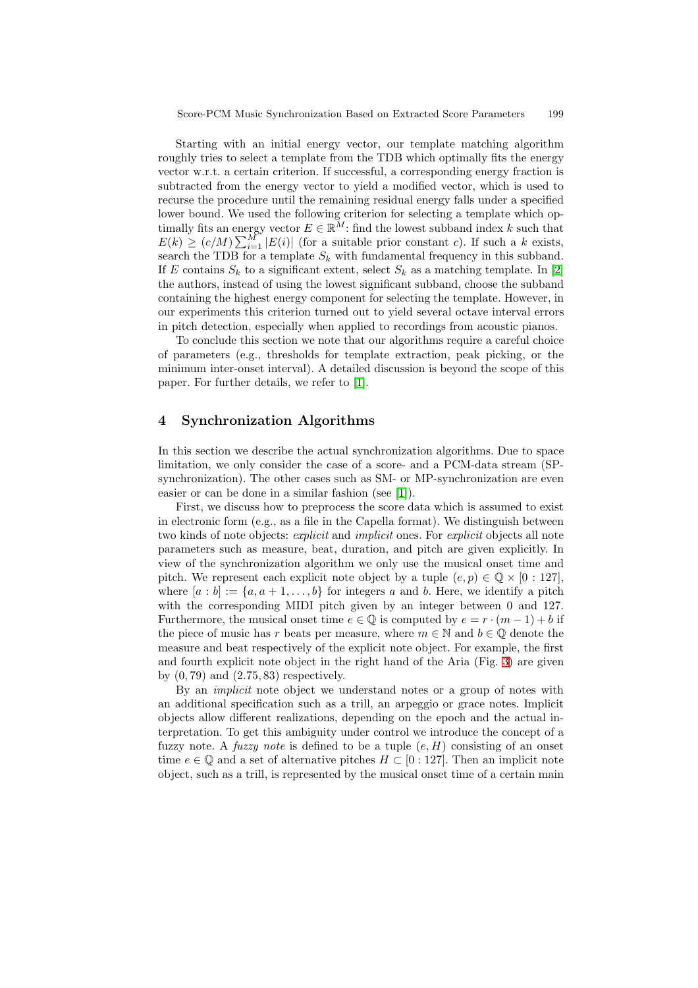Starting with an initial energy vector, our template matching algorithm roughly tries to select a template from the TDB which optimally fits the energy vector w.r.t. a certain criterion. If successful, a corresponding energy fraction is subtracted from the energy vector to yield a modified vector, which is used to recurse the procedure until the remaining residual energy falls under a specified lower bound. We used the following criterion for selecting a template which optimally fits an energy vector  $E \in \mathbb{R}^M$ : find the lowest subband index k such that  $E(k) \ge (c/M) \sum_{i=1}^{M^*} |E(i)|$  (for a suitable prior constant c). If such a k exists, search the TDB for a template  $S_k$  with fundamental frequency in this subband. If E contains  $S_k$  to a significant extent, select  $S_k$  as a matching template. In [\[2\]](#page-16-7) the authors, instead of using the lowest significant subband, choose the subband containing the highest energy component for selecting the template. However, in our experiments this criterion turned out to yield several octave interval errors in pitch detection, especially when applied to recordings from acoustic pianos.

To conclude this section we note that our algorithms require a careful choice of parameters (e.g., thresholds for template extraction, peak picking, or the minimum inter-onset interval). A detailed discussion is beyond the scope of this paper. For further details, we refer to [\[1\]](#page-16-1).

### <span id="page-6-0"></span>**4 Synchronization Algorithms**

In this section we describe the actual synchronization algorithms. Due to space limitation, we only consider the case of a score- and a PCM-data stream (SPsynchronization). The other cases such as SM- or MP-synchronization are even easier or can be done in a similar fashion (see [\[1\]](#page-16-1)).

First, we discuss how to preprocess the score data which is assumed to exist in electronic form (e.g., as a file in the Capella format). We distinguish between two kinds of note objects: *explicit* and *implicit* ones. For *explicit* objects all note parameters such as measure, beat, duration, and pitch are given explicitly. In view of the synchronization algorithm we only use the musical onset time and pitch. We represent each explicit note object by a tuple  $(e, p) \in \mathbb{Q} \times [0 : 127]$ , where  $[a : b] := \{a, a + 1, \ldots, b\}$  for integers a and b. Here, we identify a pitch with the corresponding MIDI pitch given by an integer between 0 and 127. Furthermore, the musical onset time  $e \in \mathbb{Q}$  is computed by  $e = r \cdot (m-1) + b$  if the piece of music has r beats per measure, where  $m \in \mathbb{N}$  and  $b \in \mathbb{Q}$  denote the measure and beat respectively of the explicit note object. For example, the first and fourth explicit note object in the right hand of the Aria (Fig. [3\)](#page-7-0) are given by (0, 79) and (2.75, 83) respectively.

By an *implicit* note object we understand notes or a group of notes with an additional specification such as a trill, an arpeggio or grace notes. Implicit objects allow different realizations, depending on the epoch and the actual interpretation. To get this ambiguity under control we introduce the concept of a fuzzy note. A *fuzzy note* is defined to be a tuple (e, H) consisting of an onset time  $e \in \mathbb{Q}$  and a set of alternative pitches  $H \subset [0:127]$ . Then an implicit note object, such as a trill, is represented by the musical onset time of a certain main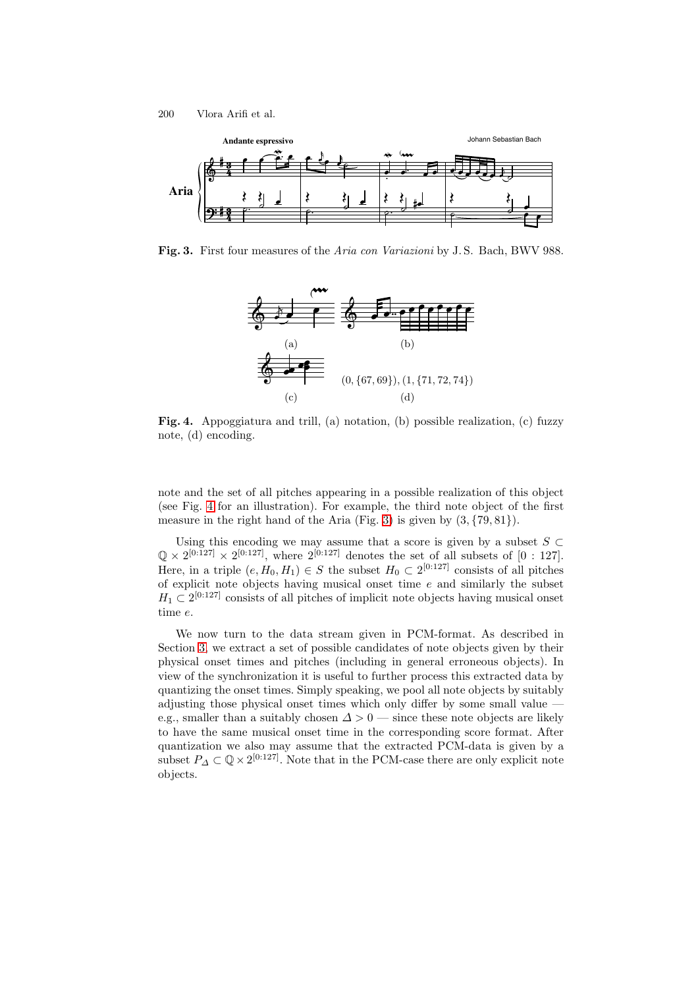

<span id="page-7-0"></span>**Fig. 3.** First four measures of the *Aria con Variazioni* by J. S. Bach, BWV 988.



<span id="page-7-1"></span>**Fig. 4.** Appoggiatura and trill, (a) notation, (b) possible realization, (c) fuzzy note, (d) encoding.

note and the set of all pitches appearing in a possible realization of this object (see Fig. [4](#page-7-1) for an illustration). For example, the third note object of the first measure in the right hand of the Aria (Fig. [3\)](#page-7-0) is given by  $(3, \{79, 81\})$ .

Using this encoding we may assume that a score is given by a subset  $S \subset$  $\mathbb{Q} \times 2^{[0:127]} \times 2^{[0:127]}$ , where  $2^{[0:127]}$  denotes the set of all subsets of  $[0:127]$ . Here, in a triple  $(e, H_0, H_1) \in S$  the subset  $H_0 \subset 2^{[0:127]}$  consists of all pitches of explicit note objects having musical onset time  $e$  and similarly the subset  $H_1 \subset 2^{[0:127]}$  consists of all pitches of implicit note objects having musical onset time e.

We now turn to the data stream given in PCM-format. As described in Section [3,](#page-4-0) we extract a set of possible candidates of note objects given by their physical onset times and pitches (including in general erroneous objects). In view of the synchronization it is useful to further process this extracted data by quantizing the onset times. Simply speaking, we pool all note objects by suitably adjusting those physical onset times which only differ by some small value e.g., smaller than a suitably chosen  $\Delta > 0$  — since these note objects are likely to have the same musical onset time in the corresponding score format. After quantization we also may assume that the extracted PCM-data is given by a subset  $P_{\Delta} \subset \mathbb{Q} \times 2^{[0.127]}$ . Note that in the PCM-case there are only explicit note objects.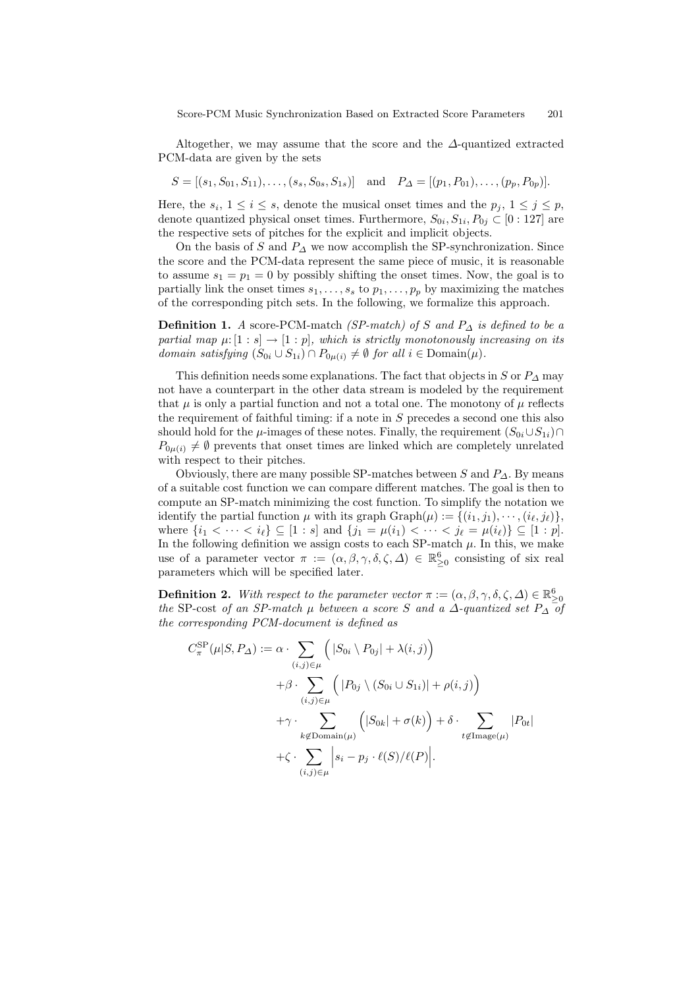Altogether, we may assume that the score and the  $\Delta$ -quantized extracted PCM-data are given by the sets

$$
S = [(s_1, S_{01}, S_{11}), \dots, (s_s, S_{0s}, S_{1s})] \text{ and } P_{\Delta} = [(p_1, P_{01}), \dots, (p_p, P_{0p})].
$$

Here, the  $s_i$ ,  $1 \leq i \leq s$ , denote the musical onset times and the  $p_j$ ,  $1 \leq j \leq p$ , denote quantized physical onset times. Furthermore,  $S_{0i}$ ,  $S_{1i}$ ,  $P_{0j} \subset [0:127]$  are the respective sets of pitches for the explicit and implicit objects.

On the basis of S and  $P_{\Delta}$  we now accomplish the SP-synchronization. Since the score and the PCM-data represent the same piece of music, it is reasonable to assume  $s_1 = p_1 = 0$  by possibly shifting the onset times. Now, the goal is to partially link the onset times  $s_1, \ldots, s_s$  to  $p_1, \ldots, p_p$  by maximizing the matches of the corresponding pitch sets. In the following, we formalize this approach.

**Definition 1.** *A* score-PCM-match *(SP-match) of* S and  $P_{\Delta}$  *is defined to be a partial map*  $\mu$ :  $[1:s] \rightarrow [1:p]$ *, which is strictly monotonously increasing on its domain satisfying*  $(S_{0i} \cup S_{1i}) \cap P_{0u(i)} \neq \emptyset$  *for all*  $i \in \text{Domain}(\mu)$ *.* 

This definition needs some explanations. The fact that objects in S or  $P_{\Delta}$  may not have a counterpart in the other data stream is modeled by the requirement that  $\mu$  is only a partial function and not a total one. The monotony of  $\mu$  reflects the requirement of faithful timing: if a note in S precedes a second one this also should hold for the  $\mu$ -images of these notes. Finally, the requirement  $(S_{0i} \cup S_{1i}) \cap$  $P_{0\mu(i)} \neq \emptyset$  prevents that onset times are linked which are completely unrelated with respect to their pitches.

Obviously, there are many possible SP-matches between S and  $P_{\Delta}$ . By means of a suitable cost function we can compare different matches. The goal is then to compute an SP-match minimizing the cost function. To simplify the notation we identify the partial function  $\mu$  with its graph  $\text{Graph}(\mu) := \{ (i_1, j_1), \cdots, (i_\ell, j_\ell) \},\$ where  $\{i_1 < \cdots < i_\ell\} \subseteq [1:s]$  and  $\{j_1 = \mu(i_1) < \cdots < j_\ell = \mu(i_\ell)\} \subseteq [1:p]$ . In the following definition we assign costs to each SP-match  $\mu$ . In this, we make use of a parameter vector  $\pi := (\alpha, \beta, \gamma, \delta, \zeta, \Delta) \in \mathbb{R}^6_{\geq 0}$  consisting of six real parameters which will be specified later.

**Definition 2.** With respect to the parameter vector  $\pi := (\alpha, \beta, \gamma, \delta, \zeta, \Delta) \in \mathbb{R}^6_{\geq 0}$ <br>the SP-cost of an SP-match u between a scare S and a A-guantized set P<sub>2</sub> of *the* SP-cost *of an SP-match*  $\mu$  *between a score* S *and a*  $\Delta$ -quantized set  $P_{\Delta}$  *of the corresponding PCM-document is defined as*

$$
C_{\pi}^{\text{SP}}(\mu|S, P_{\Delta}) := \alpha \cdot \sum_{(i,j) \in \mu} \left( |S_{0i} \setminus P_{0j}| + \lambda(i,j) \right)
$$
  
+  $\beta \cdot \sum_{(i,j) \in \mu} \left( |P_{0j} \setminus (S_{0i} \cup S_{1i})| + \rho(i,j) \right)$   
+  $\gamma \cdot \sum_{k \notin \text{Domain}(\mu)} \left( |S_{0k}| + \sigma(k) \right) + \delta \cdot \sum_{t \notin \text{Image}(\mu)} |P_{0t}|$   
+  $\zeta \cdot \sum_{(i,j) \in \mu} |s_i - p_j \cdot \ell(S)/\ell(P)|.$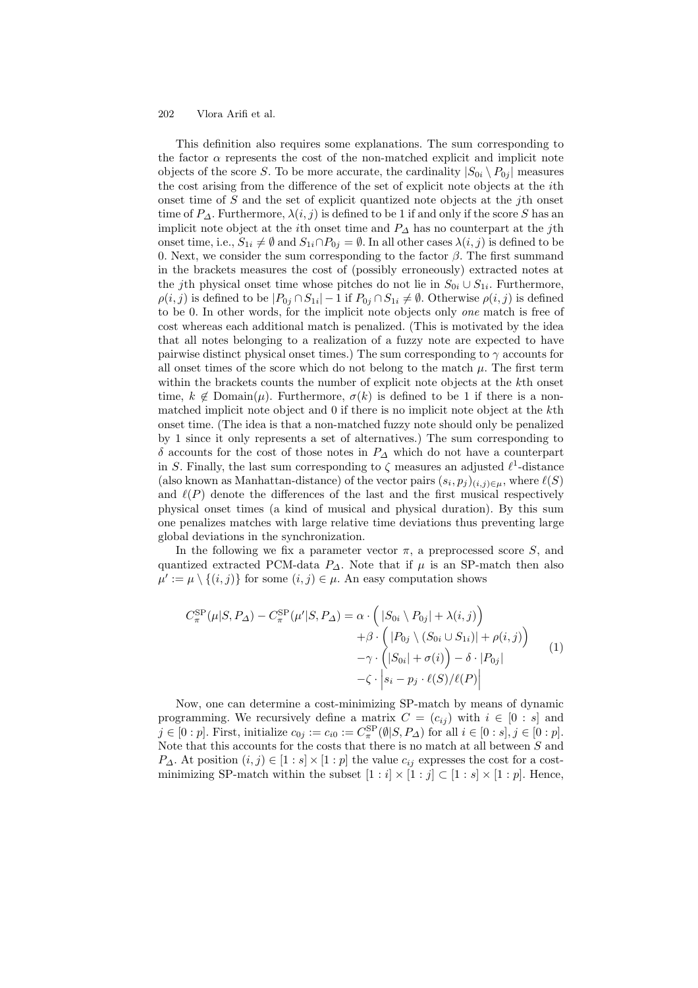This definition also requires some explanations. The sum corresponding to the factor  $\alpha$  represents the cost of the non-matched explicit and implicit note objects of the score S. To be more accurate, the cardinality  $|S_{0i} \setminus P_{0j}|$  measures the cost arising from the difference of the set of explicit note objects at the ith onset time of  $S$  and the set of explicit quantized note objects at the *j*th onset time of  $P_{\Lambda}$ . Furthermore,  $\lambda(i, j)$  is defined to be 1 if and only if the score S has an implicit note object at the *i*th onset time and  $P_{\Delta}$  has no counterpart at the *j*th onset time, i.e.,  $S_{1i} \neq \emptyset$  and  $S_{1i} \cap P_{0j} = \emptyset$ . In all other cases  $\lambda(i, j)$  is defined to be 0. Next, we consider the sum corresponding to the factor  $\beta$ . The first summand in the brackets measures the cost of (possibly erroneously) extracted notes at the jth physical onset time whose pitches do not lie in  $S_{0i} \cup S_{1i}$ . Furthermore,  $\rho(i, j)$  is defined to be  $|P_{0j} \cap S_{1i}| - 1$  if  $P_{0j} \cap S_{1i} \neq \emptyset$ . Otherwise  $\rho(i, j)$  is defined to be 0. In other words, for the implicit note objects only *one* match is free of cost whereas each additional match is penalized. (This is motivated by the idea that all notes belonging to a realization of a fuzzy note are expected to have pairwise distinct physical onset times.) The sum corresponding to  $\gamma$  accounts for all onset times of the score which do not belong to the match  $\mu$ . The first term within the brackets counts the number of explicit note objects at the kth onset time,  $k \notin \text{Domain}(\mu)$ . Furthermore,  $\sigma(k)$  is defined to be 1 if there is a nonmatched implicit note object and 0 if there is no implicit note object at the kth onset time. (The idea is that a non-matched fuzzy note should only be penalized by 1 since it only represents a set of alternatives.) The sum corresponding to  $\delta$  accounts for the cost of those notes in  $P_{\Delta}$  which do not have a counterpart in S. Finally, the last sum corresponding to  $\zeta$  measures an adjusted  $\ell^1$ -distance (also known as Manhattan-distance) of the vector pairs  $(s_i, p_j)_{(i,j)\in\mu}$ , where  $\ell(S)$ and  $\ell(P)$  denote the differences of the last and the first musical respectively physical onset times (a kind of musical and physical duration). By this sum one penalizes matches with large relative time deviations thus preventing large global deviations in the synchronization.

In the following we fix a parameter vector  $\pi$ , a preprocessed score S, and quantized extracted PCM-data  $P_{\Delta}$ . Note that if  $\mu$  is an SP-match then also  $\mu' := \mu \setminus \{(i, j)\}\$ for some  $(i, j) \in \mu$ . An easy computation shows

$$
C_{\pi}^{\rm SP}(\mu|S, P_{\Delta}) - C_{\pi}^{\rm SP}(\mu'|S, P_{\Delta}) = \alpha \cdot \left( |S_{0i} \setminus P_{0j}| + \lambda(i, j) \right) + \beta \cdot \left( |P_{0j} \setminus (S_{0i} \cup S_{1i})| + \rho(i, j) \right) - \gamma \cdot \left( |S_{0i}| + \sigma(i) \right) - \delta \cdot |P_{0j}| - \zeta \cdot \left| s_i - p_j \cdot \ell(S) / \ell(P) \right|
$$
(1)

<span id="page-9-0"></span>Now, one can determine a cost-minimizing SP-match by means of dynamic programming. We recursively define a matrix  $C = (c_{ij})$  with  $i \in [0 : s]$  and  $j \in [0:p]$ . First, initialize  $c_{0j} := c_{i0} := C_{\pi}^{\text{SP}}(\emptyset | S, P_{\Delta})$  for all  $i \in [0:s], j \in [0:p]$ . Note that this accounts for the costs that there is no match at all between  $S$  and  $P_{\Delta}$ . At position  $(i, j) \in [1 : s] \times [1 : p]$  the value  $c_{ij}$  expresses the cost for a costminimizing SP-match within the subset  $[1 : i] \times [1 : j] \subset [1 : s] \times [1 : p]$ . Hence,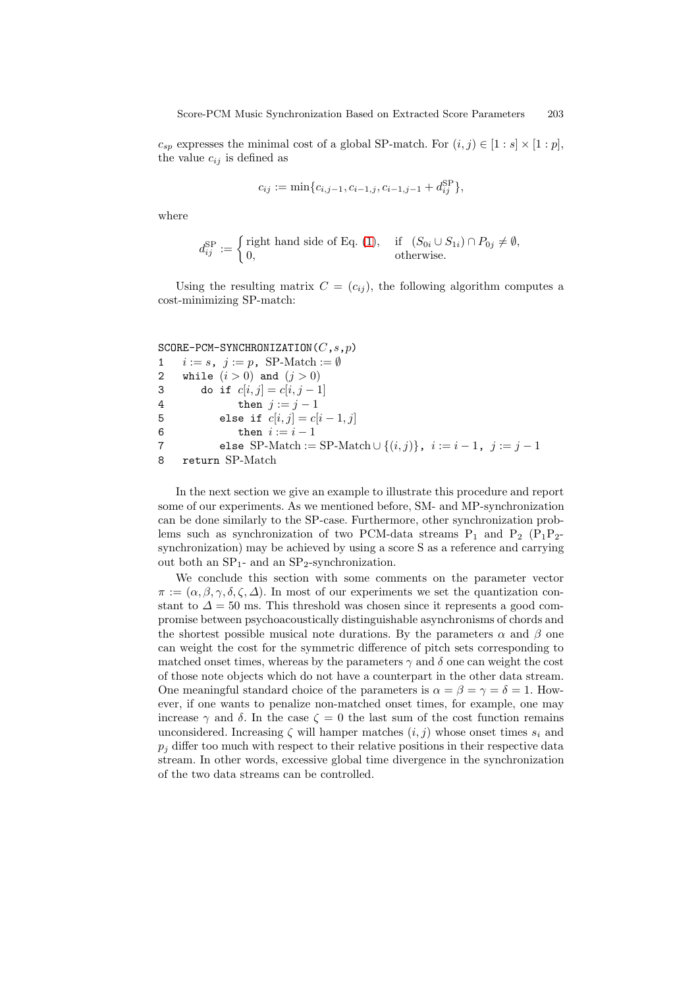$c_{sp}$  expresses the minimal cost of a global SP-match. For  $(i, j) \in [1 : s] \times [1 : p]$ , the value  $c_{ij}$  is defined as

$$
c_{ij} := \min\{c_{i,j-1}, c_{i-1,j}, c_{i-1,j-1} + d_{ij}^{\rm SP}\},\
$$

where

$$
d_{ij}^{\rm SP} := \begin{cases} \text{right hand side of Eq. (1)}, & \text{if } (S_{0i} \cup S_{1i}) \cap P_{0j} \neq \emptyset, \\ 0, & \text{otherwise.} \end{cases}
$$

Using the resulting matrix  $C = (c_{ij})$ , the following algorithm computes a cost-minimizing SP-match:

```
SCORE-PCM-SYNCHRONIZATION(C,s,p)1 i := s, j := p, \text{ SP-Match} := \emptyset2 while (i > 0) and (j > 0)3 do if c[i, j] = c[i, j - 1]4 then j := j - 15 else if c[i, j] = c[i - 1, j]6 then i := i - 17 else SP-Match := SP-Match ∪ \{(i, j)\}\, i := i - 1, j := j - 18 return SP-Match
```
In the next section we give an example to illustrate this procedure and report some of our experiments. As we mentioned before, SM- and MP-synchronization can be done similarly to the SP-case. Furthermore, other synchronization problems such as synchronization of two PCM-data streams  $P_1$  and  $P_2$  ( $P_1P_2$ synchronization) may be achieved by using a score S as a reference and carrying out both an  $SP_1$ - and an  $SP_2$ -synchronization.

We conclude this section with some comments on the parameter vector  $\pi := (\alpha, \beta, \gamma, \delta, \zeta, \Delta)$ . In most of our experiments we set the quantization constant to  $\Delta = 50$  ms. This threshold was chosen since it represents a good compromise between psychoacoustically distinguishable asynchronisms of chords and the shortest possible musical note durations. By the parameters  $\alpha$  and  $\beta$  one can weight the cost for the symmetric difference of pitch sets corresponding to matched onset times, whereas by the parameters  $\gamma$  and  $\delta$  one can weight the cost of those note objects which do not have a counterpart in the other data stream. One meaningful standard choice of the parameters is  $\alpha = \beta = \gamma = \delta = 1$ . However, if one wants to penalize non-matched onset times, for example, one may increase  $\gamma$  and  $\delta$ . In the case  $\zeta = 0$  the last sum of the cost function remains unconsidered. Increasing  $\zeta$  will hamper matches  $(i, j)$  whose onset times  $s_i$  and  $p_i$  differ too much with respect to their relative positions in their respective data stream. In other words, excessive global time divergence in the synchronization of the two data streams can be controlled.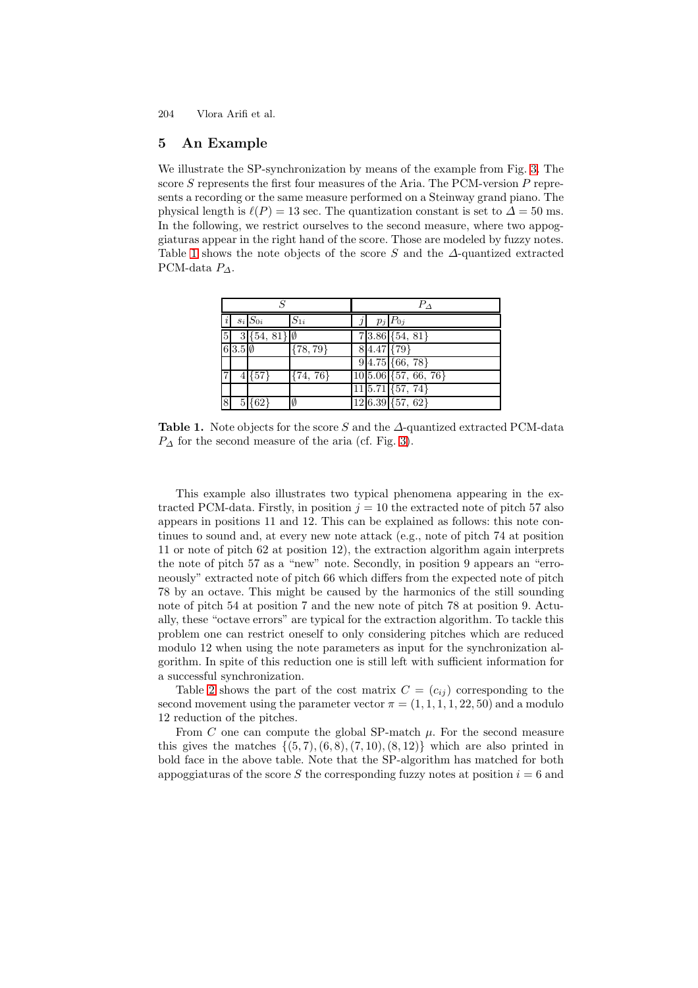## <span id="page-11-0"></span>**5 An Example**

We illustrate the SP-synchronization by means of the example from Fig. [3.](#page-7-0) The score S represents the first four measures of the Aria. The PCM-version P represents a recording or the same measure performed on a Steinway grand piano. The physical length is  $\ell(P) = 13$  sec. The quantization constant is set to  $\Delta = 50$  ms. In the following, we restrict ourselves to the second measure, where two appoggiaturas appear in the right hand of the score. Those are modeled by fuzzy notes. Table [1](#page-11-1) shows the note objects of the score S and the  $\Delta$ -quantized extracted PCM-data  $P_{\Delta}$ .

| S                   |       |                        |              |  | $P_{\Delta}$ |                             |  |  |
|---------------------|-------|------------------------|--------------|--|--------------|-----------------------------|--|--|
| $\overline{\imath}$ |       | $s_i S_{0i}$           | $S_{1i}$     |  |              | $p_j   P_{0j}$              |  |  |
| $\overline{5}$      |       | $3\{54, 81\}\emptyset$ |              |  |              | $7 3.86 \{54, 81\}$         |  |  |
|                     | 63.50 |                        | $\{78, 79\}$ |  |              | 84.47 {79}                  |  |  |
|                     |       |                        |              |  |              | $9 4.75 \{66, 78\}$         |  |  |
|                     |       | ${57}$                 | ${74, 76}$   |  |              | $10\,5.06\, \{57, 66, 76\}$ |  |  |
|                     |       |                        |              |  |              | $11\,5.71\{57, 74\}$        |  |  |
| 8                   |       | $5 \{62\}$             | Ø            |  |              | $12 6.39 \{57, 62\}$        |  |  |

<span id="page-11-1"></span>**Table 1.** Note objects for the score S and the  $\Delta$ -quantized extracted PCM-data  $P_{\Delta}$  for the second measure of the aria (cf. Fig. [3\)](#page-7-0).

This example also illustrates two typical phenomena appearing in the extracted PCM-data. Firstly, in position  $j = 10$  the extracted note of pitch 57 also appears in positions 11 and 12. This can be explained as follows: this note continues to sound and, at every new note attack (e.g., note of pitch 74 at position 11 or note of pitch 62 at position 12), the extraction algorithm again interprets the note of pitch 57 as a "new" note. Secondly, in position 9 appears an "erroneously" extracted note of pitch 66 which differs from the expected note of pitch 78 by an octave. This might be caused by the harmonics of the still sounding note of pitch 54 at position 7 and the new note of pitch 78 at position 9. Actually, these "octave errors" are typical for the extraction algorithm. To tackle this problem one can restrict oneself to only considering pitches which are reduced modulo 12 when using the note parameters as input for the synchronization algorithm. In spite of this reduction one is still left with sufficient information for a successful synchronization.

Table [2](#page-12-1) shows the part of the cost matrix  $C = (c_{ij})$  corresponding to the second movement using the parameter vector  $\pi = (1, 1, 1, 1, 22, 50)$  and a modulo 12 reduction of the pitches.

From C one can compute the global SP-match  $\mu$ . For the second measure this gives the matches  $\{(5, 7), (6, 8), (7, 10), (8, 12)\}\$  which are also printed in bold face in the above table. Note that the SP-algorithm has matched for both appoggiaturas of the score S the corresponding fuzzy notes at position  $i = 6$  and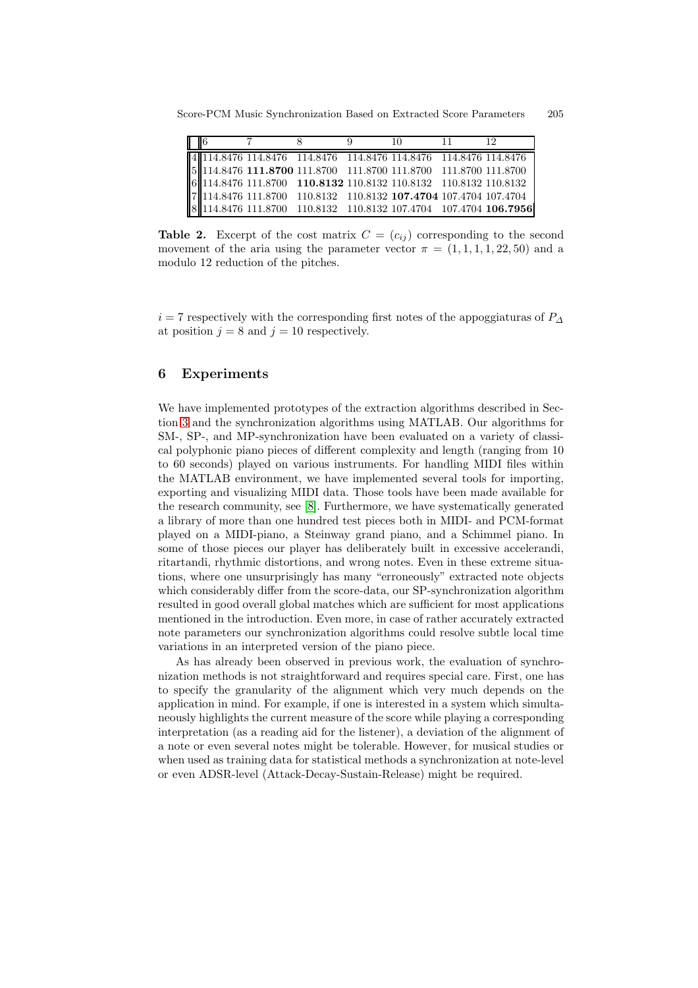Score-PCM Music Synchronization Based on Extracted Score Parameters 205

|  | $\Box$ |                                                                                                                                                                                                                                                                                                     | 10 | 11 | 12 |
|--|--------|-----------------------------------------------------------------------------------------------------------------------------------------------------------------------------------------------------------------------------------------------------------------------------------------------------|----|----|----|
|  |        | $\fbox{4}\fbox{114.8476} \begin{array}{l} 114.8476 \end{array} \begin{array}{l} 114.8476 \end{array} \begin{array}{l} 114.8476 \end{array} \begin{array}{l} 114.8476 \end{array} \begin{array}{l} 114.8476 \end{array} \begin{array}{l} 114.8476 \end{array} \begin{array}{l} 114.8476 \end{array}$ |    |    |    |
|  |        |                                                                                                                                                                                                                                                                                                     |    |    |    |
|  |        |                                                                                                                                                                                                                                                                                                     |    |    |    |
|  |        |                                                                                                                                                                                                                                                                                                     |    |    |    |
|  |        | 8  114.8476 111.8700 110.8132 110.8132 107.4704 107.4704 106.7956                                                                                                                                                                                                                                   |    |    |    |

<span id="page-12-1"></span>**Table 2.** Excerpt of the cost matrix  $C = (c_{ij})$  corresponding to the second movement of the aria using the parameter vector  $\pi = (1, 1, 1, 1, 22, 50)$  and a modulo 12 reduction of the pitches.

 $i = 7$  respectively with the corresponding first notes of the appoggiaturas of  $P_{\Delta}$ at position  $j = 8$  and  $j = 10$  respectively.

### <span id="page-12-0"></span>**6 Experiments**

We have implemented prototypes of the extraction algorithms described in Section [3](#page-4-0) and the synchronization algorithms using MATLAB. Our algorithms for SM-, SP-, and MP-synchronization have been evaluated on a variety of classical polyphonic piano pieces of different complexity and length (ranging from 10 to 60 seconds) played on various instruments. For handling MIDI files within the MATLAB environment, we have implemented several tools for importing, exporting and visualizing MIDI data. Those tools have been made available for the research community, see [\[8\]](#page-16-9). Furthermore, we have systematically generated a library of more than one hundred test pieces both in MIDI- and PCM-format played on a MIDI-piano, a Steinway grand piano, and a Schimmel piano. In some of those pieces our player has deliberately built in excessive accelerandi, ritartandi, rhythmic distortions, and wrong notes. Even in these extreme situations, where one unsurprisingly has many "erroneously" extracted note objects which considerably differ from the score-data, our SP-synchronization algorithm resulted in good overall global matches which are sufficient for most applications mentioned in the introduction. Even more, in case of rather accurately extracted note parameters our synchronization algorithms could resolve subtle local time variations in an interpreted version of the piano piece.

As has already been observed in previous work, the evaluation of synchronization methods is not straightforward and requires special care. First, one has to specify the granularity of the alignment which very much depends on the application in mind. For example, if one is interested in a system which simultaneously highlights the current measure of the score while playing a corresponding interpretation (as a reading aid for the listener), a deviation of the alignment of a note or even several notes might be tolerable. However, for musical studies or when used as training data for statistical methods a synchronization at note-level or even ADSR-level (Attack-Decay-Sustain-Release) might be required.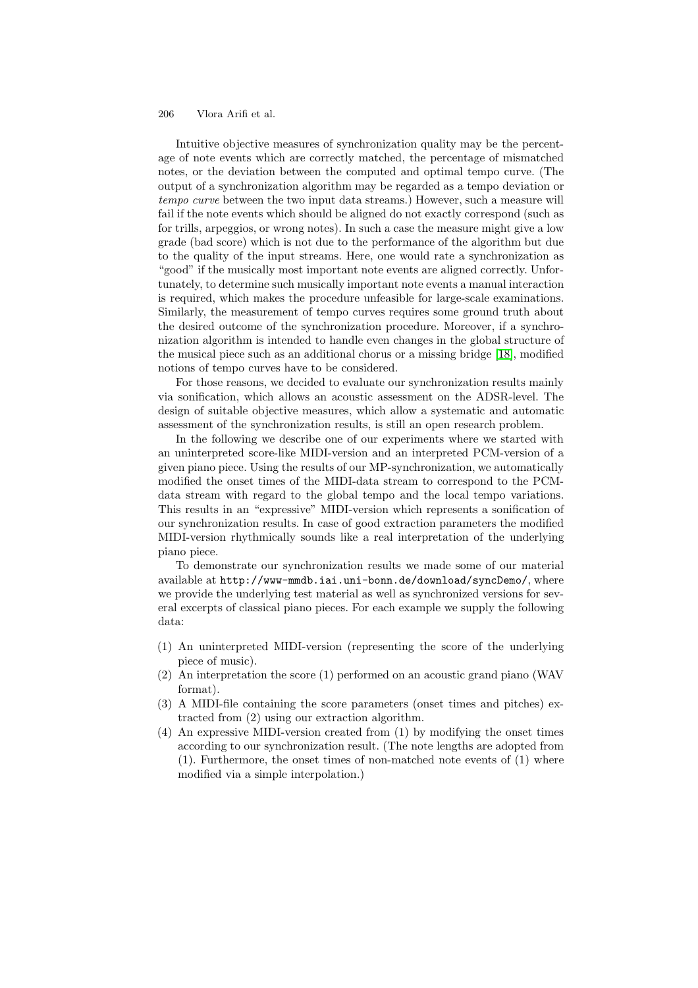Intuitive objective measures of synchronization quality may be the percentage of note events which are correctly matched, the percentage of mismatched notes, or the deviation between the computed and optimal tempo curve. (The output of a synchronization algorithm may be regarded as a tempo deviation or *tempo curve* between the two input data streams.) However, such a measure will fail if the note events which should be aligned do not exactly correspond (such as for trills, arpeggios, or wrong notes). In such a case the measure might give a low grade (bad score) which is not due to the performance of the algorithm but due to the quality of the input streams. Here, one would rate a synchronization as "good" if the musically most important note events are aligned correctly. Unfortunately, to determine such musically important note events a manual interaction is required, which makes the procedure unfeasible for large-scale examinations. Similarly, the measurement of tempo curves requires some ground truth about the desired outcome of the synchronization procedure. Moreover, if a synchronization algorithm is intended to handle even changes in the global structure of the musical piece such as an additional chorus or a missing bridge [\[18\]](#page-17-1), modified notions of tempo curves have to be considered.

For those reasons, we decided to evaluate our synchronization results mainly via sonification, which allows an acoustic assessment on the ADSR-level. The design of suitable objective measures, which allow a systematic and automatic assessment of the synchronization results, is still an open research problem.

In the following we describe one of our experiments where we started with an uninterpreted score-like MIDI-version and an interpreted PCM-version of a given piano piece. Using the results of our MP-synchronization, we automatically modified the onset times of the MIDI-data stream to correspond to the PCMdata stream with regard to the global tempo and the local tempo variations. This results in an "expressive" MIDI-version which represents a sonification of our synchronization results. In case of good extraction parameters the modified MIDI-version rhythmically sounds like a real interpretation of the underlying piano piece.

To demonstrate our synchronization results we made some of our material available at http://www-mmdb.iai.uni-bonn.de/download/syncDemo/, where we provide the underlying test material as well as synchronized versions for several excerpts of classical piano pieces. For each example we supply the following data:

- (1) An uninterpreted MIDI-version (representing the score of the underlying piece of music).
- (2) An interpretation the score (1) performed on an acoustic grand piano (WAV format).
- (3) A MIDI-file containing the score parameters (onset times and pitches) extracted from (2) using our extraction algorithm.
- (4) An expressive MIDI-version created from (1) by modifying the onset times according to our synchronization result. (The note lengths are adopted from (1). Furthermore, the onset times of non-matched note events of (1) where modified via a simple interpolation.)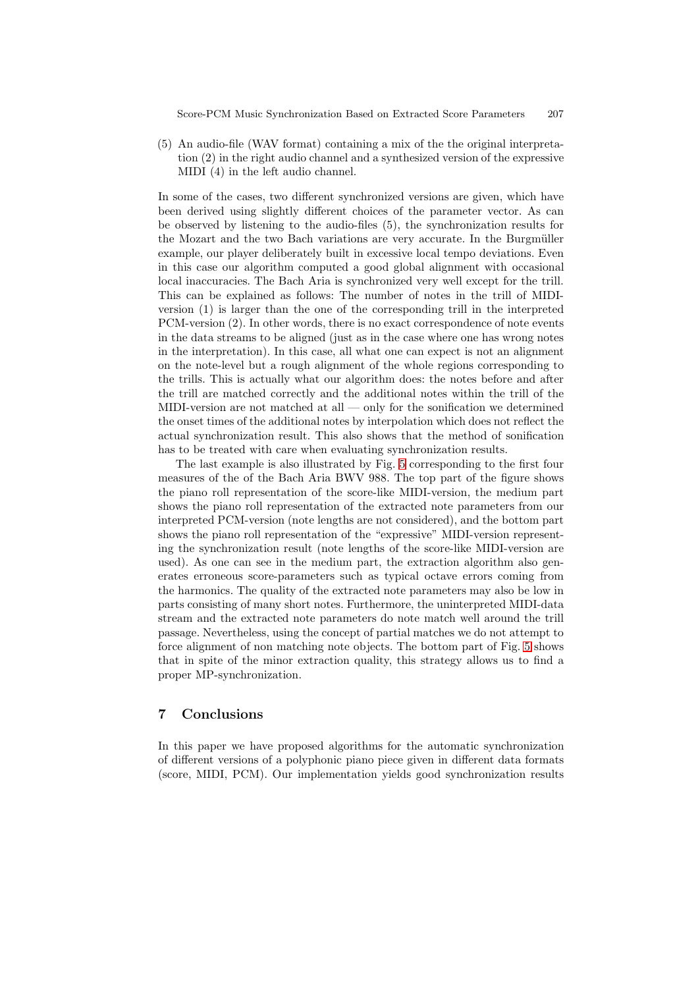(5) An audio-file (WAV format) containing a mix of the the original interpretation (2) in the right audio channel and a synthesized version of the expressive MIDI (4) in the left audio channel.

In some of the cases, two different synchronized versions are given, which have been derived using slightly different choices of the parameter vector. As can be observed by listening to the audio-files (5), the synchronization results for the Mozart and the two Bach variations are very accurate. In the Burgmüller example, our player deliberately built in excessive local tempo deviations. Even in this case our algorithm computed a good global alignment with occasional local inaccuracies. The Bach Aria is synchronized very well except for the trill. This can be explained as follows: The number of notes in the trill of MIDIversion (1) is larger than the one of the corresponding trill in the interpreted PCM-version (2). In other words, there is no exact correspondence of note events in the data streams to be aligned (just as in the case where one has wrong notes in the interpretation). In this case, all what one can expect is not an alignment on the note-level but a rough alignment of the whole regions corresponding to the trills. This is actually what our algorithm does: the notes before and after the trill are matched correctly and the additional notes within the trill of the MIDI-version are not matched at all — only for the sonification we determined the onset times of the additional notes by interpolation which does not reflect the actual synchronization result. This also shows that the method of sonification has to be treated with care when evaluating synchronization results.

The last example is also illustrated by Fig. [5](#page-15-0) corresponding to the first four measures of the of the Bach Aria BWV 988. The top part of the figure shows the piano roll representation of the score-like MIDI-version, the medium part shows the piano roll representation of the extracted note parameters from our interpreted PCM-version (note lengths are not considered), and the bottom part shows the piano roll representation of the "expressive" MIDI-version representing the synchronization result (note lengths of the score-like MIDI-version are used). As one can see in the medium part, the extraction algorithm also generates erroneous score-parameters such as typical octave errors coming from the harmonics. The quality of the extracted note parameters may also be low in parts consisting of many short notes. Furthermore, the uninterpreted MIDI-data stream and the extracted note parameters do note match well around the trill passage. Nevertheless, using the concept of partial matches we do not attempt to force alignment of non matching note objects. The bottom part of Fig. [5](#page-15-0) shows that in spite of the minor extraction quality, this strategy allows us to find a proper MP-synchronization.

### <span id="page-14-0"></span>**7 Conclusions**

In this paper we have proposed algorithms for the automatic synchronization of different versions of a polyphonic piano piece given in different data formats (score, MIDI, PCM). Our implementation yields good synchronization results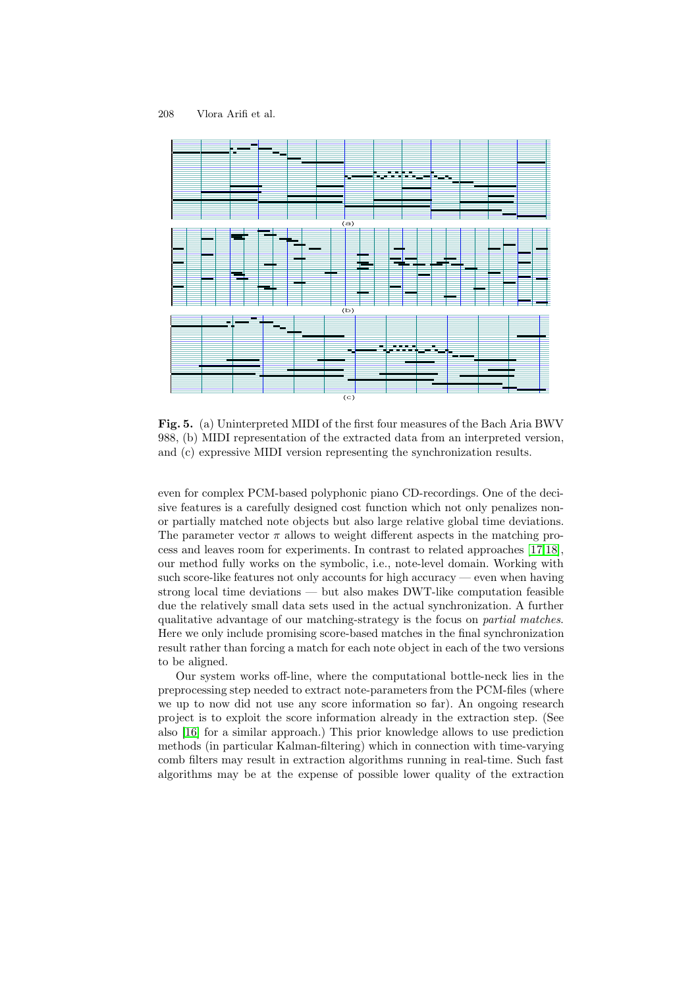

<span id="page-15-0"></span>**Fig. 5.** (a) Uninterpreted MIDI of the first four measures of the Bach Aria BWV 988, (b) MIDI representation of the extracted data from an interpreted version, and (c) expressive MIDI version representing the synchronization results.

even for complex PCM-based polyphonic piano CD-recordings. One of the decisive features is a carefully designed cost function which not only penalizes nonor partially matched note objects but also large relative global time deviations. The parameter vector  $\pi$  allows to weight different aspects in the matching process and leaves room for experiments. In contrast to related approaches [\[17](#page-17-0)[,18\]](#page-17-1), our method fully works on the symbolic, i.e., note-level domain. Working with such score-like features not only accounts for high accuracy — even when having strong local time deviations — but also makes DWT-like computation feasible due the relatively small data sets used in the actual synchronization. A further qualitative advantage of our matching-strategy is the focus on *partial matches*. Here we only include promising score-based matches in the final synchronization result rather than forcing a match for each note object in each of the two versions to be aligned.

Our system works off-line, where the computational bottle-neck lies in the preprocessing step needed to extract note-parameters from the PCM-files (where we up to now did not use any score information so far). An ongoing research project is to exploit the score information already in the extraction step. (See also [\[16\]](#page-17-8) for a similar approach.) This prior knowledge allows to use prediction methods (in particular Kalman-filtering) which in connection with time-varying comb filters may result in extraction algorithms running in real-time. Such fast algorithms may be at the expense of possible lower quality of the extraction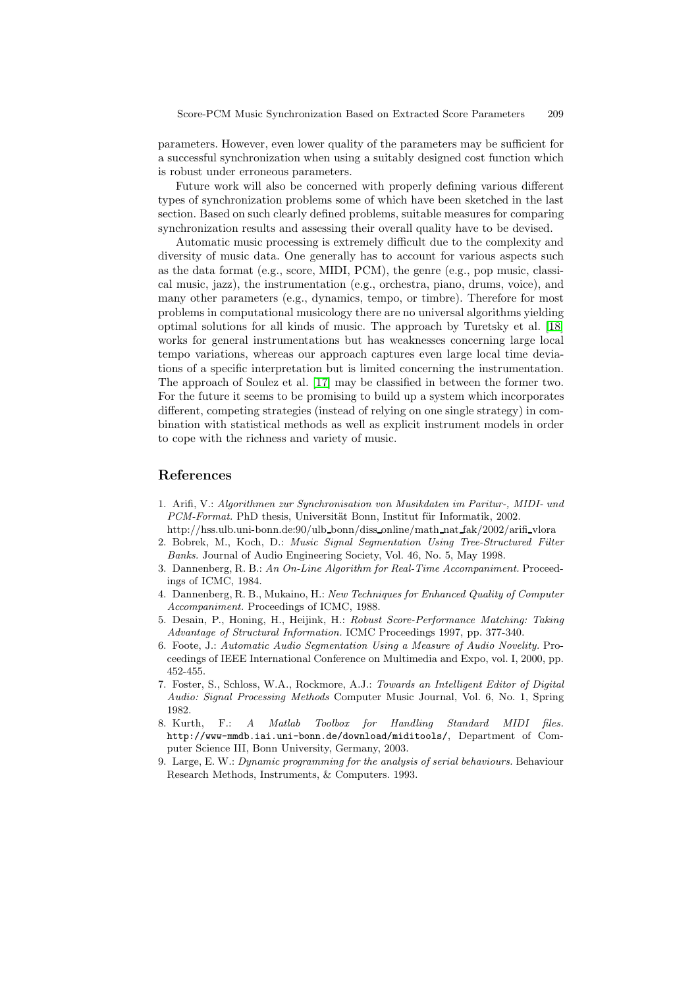<span id="page-16-0"></span>parameters. However, even lower quality of the parameters may be sufficient for a successful synchronization when using a suitably designed cost function which is robust under erroneous parameters.

Future work will also be concerned with properly defining various different types of synchronization problems some of which have been sketched in the last section. Based on such clearly defined problems, suitable measures for comparing synchronization results and assessing their overall quality have to be devised.

Automatic music processing is extremely difficult due to the complexity and diversity of music data. One generally has to account for various aspects such as the data format (e.g., score, MIDI, PCM), the genre (e.g., pop music, classical music, jazz), the instrumentation (e.g., orchestra, piano, drums, voice), and many other parameters (e.g., dynamics, tempo, or timbre). Therefore for most problems in computational musicology there are no universal algorithms yielding optimal solutions for all kinds of music. The approach by Turetsky et al. [\[18\]](#page-17-1) works for general instrumentations but has weaknesses concerning large local tempo variations, whereas our approach captures even large local time deviations of a specific interpretation but is limited concerning the instrumentation. The approach of Soulez et al. [\[17\]](#page-17-0) may be classified in between the former two. For the future it seems to be promising to build up a system which incorporates different, competing strategies (instead of relying on one single strategy) in combination with statistical methods as well as explicit instrument models in order to cope with the richness and variety of music.

## <span id="page-16-1"></span>**References**

- 1. Arifi, V.: *Algorithmen zur Synchronisation von Musikdaten im Paritur-, MIDI- und PCM-Format.* PhD thesis, Universität Bonn, Institut für Informatik, 2002.
- <span id="page-16-7"></span>http://hss.ulb.uni-bonn.de:90/ulb bonn/diss online/math nat fak/2002/arifi vlora 2. Bobrek, M., Koch, D.: *Music Signal Segmentation Using Tree-Structured Filter Banks.* Journal of Audio Engineering Society, Vol. 46, No. 5, May 1998.
- <span id="page-16-2"></span>3. Dannenberg, R. B.: *An On-Line Algorithm for Real-Time Accompaniment.* Proceedings of ICMC, 1984.
- <span id="page-16-3"></span>4. Dannenberg, R. B., Mukaino, H.: *New Techniques for Enhanced Quality of Computer Accompaniment.* Proceedings of ICMC, 1988.
- <span id="page-16-4"></span>5. Desain, P., Honing, H., Heijink, H.: *Robust Score-Performance Matching: Taking Advantage of Structural Information.* ICMC Proceedings 1997, pp. 377-340.
- <span id="page-16-6"></span>6. Foote, J.: *Automatic Audio Segmentation Using a Measure of Audio Novelity.* Proceedings of IEEE International Conference on Multimedia and Expo, vol. I, 2000, pp. 452-455.
- <span id="page-16-8"></span>7. Foster, S., Schloss, W.A., Rockmore, A.J.: *Towards an Intelligent Editor of Digital Audio: Signal Processing Methods* Computer Music Journal, Vol. 6, No. 1, Spring 1982.
- <span id="page-16-9"></span>8. Kurth, F.: *A Matlab Toolbox for Handling Standard MIDI files.* http://www-mmdb.iai.uni-bonn.de/download/miditools/, Department of Computer Science III, Bonn University, Germany, 2003.
- <span id="page-16-5"></span>9. Large, E. W.: *Dynamic programming for the analysis of serial behaviours.* Behaviour Research Methods, Instruments, & Computers. 1993.